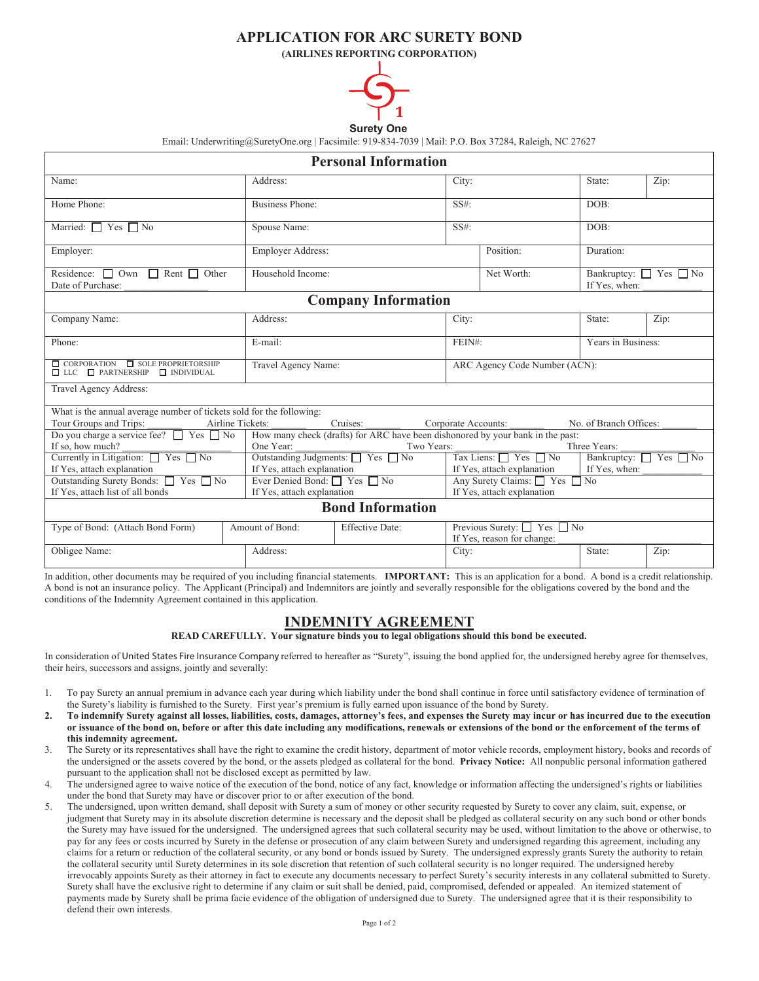## **APPLICATION FOR ARC SURETY BOND**

**(AIRLINES REPORTING CORPORATION)**



## **Surety One**

Email: Underwriting@SuretyOne.org | Facsimile: 919-834-7039 | Mail: P.O. Box 37284, Raleigh, NC 27627

| <b>Personal Information</b>                                                                                                                                                            |                        |                                                             |                                                             |                                                                                                                    |                                                   |      |  |  |
|----------------------------------------------------------------------------------------------------------------------------------------------------------------------------------------|------------------------|-------------------------------------------------------------|-------------------------------------------------------------|--------------------------------------------------------------------------------------------------------------------|---------------------------------------------------|------|--|--|
| Name:                                                                                                                                                                                  | Address:               |                                                             |                                                             |                                                                                                                    | State:                                            | Zip: |  |  |
| Home Phone:                                                                                                                                                                            | <b>Business Phone:</b> | $SS#$ :                                                     |                                                             |                                                                                                                    | DOB:                                              |      |  |  |
| Married: $\Box$ Yes $\Box$ No                                                                                                                                                          | Spouse Name:           |                                                             | $SS#$ :                                                     |                                                                                                                    | DOB:                                              |      |  |  |
| Employer:                                                                                                                                                                              | Employer Address:      |                                                             |                                                             | Position:                                                                                                          | Duration:                                         |      |  |  |
| Residence: $\Box$ Own $\Box$ Rent $\Box$ Other<br>Date of Purchase:                                                                                                                    | Household Income:      |                                                             |                                                             | Net Worth:                                                                                                         | Bankruptcy: $\Box$ Yes $\Box$ No<br>If Yes, when: |      |  |  |
| <b>Company Information</b>                                                                                                                                                             |                        |                                                             |                                                             |                                                                                                                    |                                                   |      |  |  |
| Company Name:                                                                                                                                                                          | Address:               |                                                             |                                                             |                                                                                                                    | State:                                            | Zip: |  |  |
| Phone:                                                                                                                                                                                 | E-mail:                |                                                             |                                                             | FEIN#:                                                                                                             | Years in Business:                                |      |  |  |
| $\Box$ CORPORATION $\Box$ SOLE PROPRIETORSHIP<br>$\Box$ LLC $\Box$ PARTNERSHIP $\Box$ INDIVIDUAL                                                                                       |                        | Travel Agency Name:                                         |                                                             | ARC Agency Code Number (ACN):                                                                                      |                                                   |      |  |  |
| Travel Agency Address:                                                                                                                                                                 |                        |                                                             |                                                             |                                                                                                                    |                                                   |      |  |  |
| What is the annual average number of tickets sold for the following:<br>Cruises:<br>No. of Branch Offices:<br>Tour Groups and Trips:<br>Airline Tickets:<br>Corporate Accounts:        |                        |                                                             |                                                             |                                                                                                                    |                                                   |      |  |  |
| Do you charge a service fee? T Yes No<br>How many check (drafts) for ARC have been dishonored by your bank in the past:<br>If so, how much?<br>One Year:<br>Three Years:<br>Two Years: |                        |                                                             |                                                             |                                                                                                                    |                                                   |      |  |  |
| Currently in Litigation: Ves No<br>If Yes, attach explanation                                                                                                                          |                        | Outstanding Judgments: Yes No<br>If Yes, attach explanation |                                                             | Tax Liens: $\Box$ Yes $\Box$ No<br>Bankruptcy: $\Box$ Yes $\Box$ No<br>If Yes, attach explanation<br>If Yes, when: |                                                   |      |  |  |
| Outstanding Surety Bonds: □ Yes □ No<br>Ever Denied Bond: $\Box$ Yes $\Box$ No<br>If Yes, attach list of all bonds<br>If Yes, attach explanation                                       |                        |                                                             | Any Surety Claims: □ Yes □ No<br>If Yes, attach explanation |                                                                                                                    |                                                   |      |  |  |
| <b>Bond Information</b>                                                                                                                                                                |                        |                                                             |                                                             |                                                                                                                    |                                                   |      |  |  |
| Type of Bond: (Attach Bond Form)                                                                                                                                                       | Amount of Bond:        | <b>Effective Date:</b>                                      |                                                             | Previous Surety: $\Box$ Yes $\Box$ No<br>If Yes, reason for change:                                                |                                                   |      |  |  |
| Obligee Name:                                                                                                                                                                          | Address:               |                                                             |                                                             |                                                                                                                    | State:                                            | Zip: |  |  |

In addition, other documents may be required of you including financial statements. **IMPORTANT:** This is an application for a bond. A bond is a credit relationship. A bond is not an insurance policy. The Applicant (Principal) and Indemnitors are jointly and severally responsible for the obligations covered by the bond and the conditions of the Indemnity Agreement contained in this application.

## **INDEMNITY AGREEMENT**

**READ CAREFULLY. Your signature binds you to legal obligations should this bond be executed.** 

In consideration of United States Fire Insurance Company referred to hereafter as "Surety", issuing the bond applied for, the undersigned hereby agree for themselves, their heirs, successors and assigns, jointly and severally:

- 1. To pay Surety an annual premium in advance each year during which liability under the bond shall continue in force until satisfactory evidence of termination of the Surety's liability is furnished to the Surety. First year's premium is fully earned upon issuance of the bond by Surety.
- 2. To indemnify Surety against all losses, liabilities, costs, damages, attorney's fees, and expenses the Surety may incur or has incurred due to the execution or issuance of the bond on, before or after this date including any modifications, renewals or extensions of the bond or the enforcement of the terms of **this indemnity agreement.**
- 3. The Surety or its representatives shall have the right to examine the credit history, department of motor vehicle records, employment history, books and records of the undersigned or the assets covered by the bond, or the assets pledged as collateral for the bond. **Privacy Notice:** All nonpublic personal information gathered pursuant to the application shall not be disclosed except as permitted by law.
- 4. The undersigned agree to waive notice of the execution of the bond, notice of any fact, knowledge or information affecting the undersigned's rights or liabilities under the bond that Surety may have or discover prior to or after execution of the bond.
- 5. The undersigned, upon written demand, shall deposit with Surety a sum of money or other security requested by Surety to cover any claim, suit, expense, or judgment that Surety may in its absolute discretion determine is necessary and the deposit shall be pledged as collateral security on any such bond or other bonds the Surety may have issued for the undersigned. The undersigned agrees that such collateral security may be used, without limitation to the above or otherwise, to pay for any fees or costs incurred by Surety in the defense or prosecution of any claim between Surety and undersigned regarding this agreement, including any claims for a return or reduction of the collateral security, or any bond or bonds issued by Surety. The undersigned expressly grants Surety the authority to retain the collateral security until Surety determines in its sole discretion that retention of such collateral security is no longer required. The undersigned hereby irrevocably appoints Surety as their attorney in fact to execute any documents necessary to perfect Surety's security interests in any collateral submitted to Surety. Surety shall have the exclusive right to determine if any claim or suit shall be denied, paid, compromised, defended or appealed. An itemized statement of payments made by Surety shall be prima facie evidence of the obligation of undersigned due to Surety. The undersigned agree that it is their responsibility to defend their own interests.